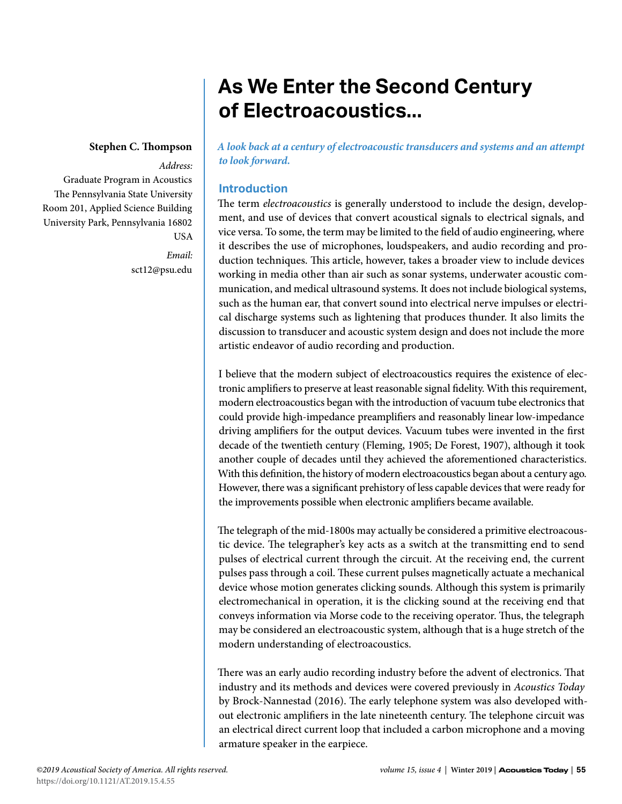# **As We Enter the Second Century of Electroacoustics...**

## **Stephen C. Thompson**

### *Address:*

Graduate Program in Acoustics The Pennsylvania State University Room 201, Applied Science Building University Park, Pennsylvania 16802 USA

> *Email:* sct12@psu.edu

*A look back at a century of electroacoustic transducers and systems and an attempt to look forward.*

# **Introduction**

The term *electroacoustics* is generally understood to include the design, development, and use of devices that convert acoustical signals to electrical signals, and vice versa. To some, the term may be limited to the field of audio engineering, where it describes the use of microphones, loudspeakers, and audio recording and production techniques. This article, however, takes a broader view to include devices working in media other than air such as sonar systems, underwater acoustic communication, and medical ultrasound systems. It does not include biological systems, such as the human ear, that convert sound into electrical nerve impulses or electrical discharge systems such as lightening that produces thunder. It also limits the discussion to transducer and acoustic system design and does not include the more artistic endeavor of audio recording and production.

I believe that the modern subject of electroacoustics requires the existence of electronic amplifiers to preserve at least reasonable signal fidelity. With this requirement, modern electroacoustics began with the introduction of vacuum tube electronics that could provide high-impedance preamplifiers and reasonably linear low-impedance driving amplifiers for the output devices. Vacuum tubes were invented in the first decade of the twentieth century (Fleming, 1905; De Forest, 1907), although it took another couple of decades until they achieved the aforementioned characteristics. With this definition, the history of modern electroacoustics began about a century ago. However, there was a significant prehistory of less capable devices that were ready for the improvements possible when electronic amplifiers became available.

The telegraph of the mid-1800s may actually be considered a primitive electroacoustic device. The telegrapher's key acts as a switch at the transmitting end to send pulses of electrical current through the circuit. At the receiving end, the current pulses pass through a coil. These current pulses magnetically actuate a mechanical device whose motion generates clicking sounds. Although this system is primarily electromechanical in operation, it is the clicking sound at the receiving end that conveys information via Morse code to the receiving operator. Thus, the telegraph may be considered an electroacoustic system, although that is a huge stretch of the modern understanding of electroacoustics.

There was an early audio recording industry before the advent of electronics. That industry and its methods and devices were covered previously in *Acoustics Today*  by Brock-Nannestad (2016). The early telephone system was also developed without electronic amplifiers in the late nineteenth century. The telephone circuit was an electrical direct current loop that included a carbon microphone and a moving armature speaker in the earpiece.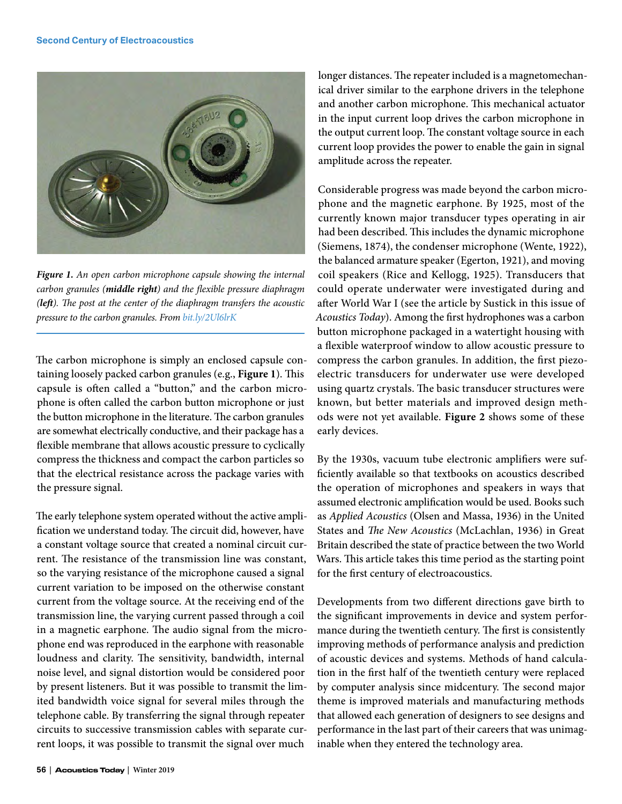

*Figure 1. An open carbon microphone capsule showing the internal carbon granules (middle right) and the flexible pressure diaphragm (left). The post at the center of the diaphragm transfers the acoustic pressure to the carbon granules. From [bit.ly/2Ul6lrK](http://bit.ly/2Ul6lrK)*

The carbon microphone is simply an enclosed capsule containing loosely packed carbon granules (e.g., **Figure 1**). This capsule is often called a "button," and the carbon microphone is often called the carbon button microphone or just the button microphone in the literature. The carbon granules are somewhat electrically conductive, and their package has a flexible membrane that allows acoustic pressure to cyclically compress the thickness and compact the carbon particles so that the electrical resistance across the package varies with the pressure signal.

The early telephone system operated without the active amplification we understand today. The circuit did, however, have a constant voltage source that created a nominal circuit current. The resistance of the transmission line was constant, so the varying resistance of the microphone caused a signal current variation to be imposed on the otherwise constant current from the voltage source. At the receiving end of the transmission line, the varying current passed through a coil in a magnetic earphone. The audio signal from the microphone end was reproduced in the earphone with reasonable loudness and clarity. The sensitivity, bandwidth, internal noise level, and signal distortion would be considered poor by present listeners. But it was possible to transmit the limited bandwidth voice signal for several miles through the telephone cable. By transferring the signal through repeater circuits to successive transmission cables with separate current loops, it was possible to transmit the signal over much

longer distances. The repeater included is a magnetomechanical driver similar to the earphone drivers in the telephone and another carbon microphone. This mechanical actuator in the input current loop drives the carbon microphone in the output current loop. The constant voltage source in each current loop provides the power to enable the gain in signal amplitude across the repeater.

Considerable progress was made beyond the carbon microphone and the magnetic earphone. By 1925, most of the currently known major transducer types operating in air had been described. This includes the dynamic microphone (Siemens, 1874), the condenser microphone (Wente, 1922), the balanced armature speaker (Egerton, 1921), and moving coil speakers (Rice and Kellogg, 1925). Transducers that could operate underwater were investigated during and after World War I (see the article by Sustick in this issue of *Acoustics Today*). Among the first hydrophones was a carbon button microphone packaged in a watertight housing with a flexible waterproof window to allow acoustic pressure to compress the carbon granules. In addition, the first piezoelectric transducers for underwater use were developed using quartz crystals. The basic transducer structures were known, but better materials and improved design methods were not yet available. **Figure 2** shows some of these early devices.

By the 1930s, vacuum tube electronic amplifiers were sufficiently available so that textbooks on acoustics described the operation of microphones and speakers in ways that assumed electronic amplification would be used. Books such as *Applied Acoustics* (Olsen and Massa, 1936) in the United States and *The New Acoustics* (McLachlan, 1936) in Great Britain described the state of practice between the two World Wars. This article takes this time period as the starting point for the first century of electroacoustics.

Developments from two different directions gave birth to the significant improvements in device and system performance during the twentieth century. The first is consistently improving methods of performance analysis and prediction of acoustic devices and systems. Methods of hand calculation in the first half of the twentieth century were replaced by computer analysis since midcentury. The second major theme is improved materials and manufacturing methods that allowed each generation of designers to see designs and performance in the last part of their careers that was unimaginable when they entered the technology area.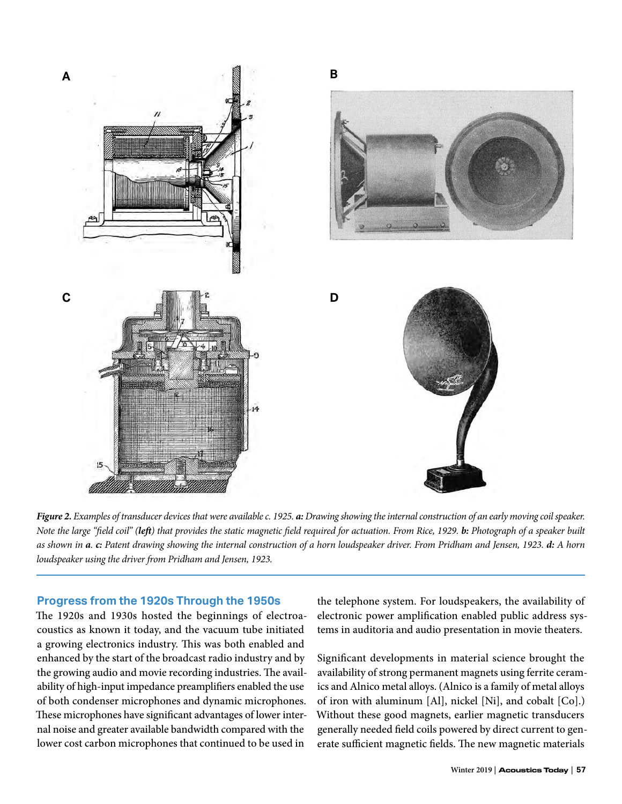

*Figure 2. Examples of transducer devices that were available c. 1925. a: Drawing showing the internal construction of an early moving coil speaker. Note the large "field coil" (left) that provides the static magnetic field required for actuation. From Rice, 1929. b: Photograph of a speaker built as shown in a. c: Patent drawing showing the internal construction of a horn loudspeaker driver. From Pridham and Jensen, 1923. d: A horn loudspeaker using the driver from Pridham and Jensen, 1923.*

## **Progress from the 1920s Through the 1950s**

The 1920s and 1930s hosted the beginnings of electroacoustics as known it today, and the vacuum tube initiated a growing electronics industry. This was both enabled and enhanced by the start of the broadcast radio industry and by the growing audio and movie recording industries. The availability of high-input impedance preamplifiers enabled the use of both condenser microphones and dynamic microphones. These microphones have significant advantages of lower internal noise and greater available bandwidth compared with the lower cost carbon microphones that continued to be used in

the telephone system. For loudspeakers, the availability of electronic power amplification enabled public address systems in auditoria and audio presentation in movie theaters.

Significant developments in material science brought the availability of strong permanent magnets using ferrite ceramics and Alnico metal alloys. (Alnico is a family of metal alloys of iron with aluminum [Al], nickel [Ni], and cobalt [Co].) Without these good magnets, earlier magnetic transducers generally needed field coils powered by direct current to generate sufficient magnetic fields. The new magnetic materials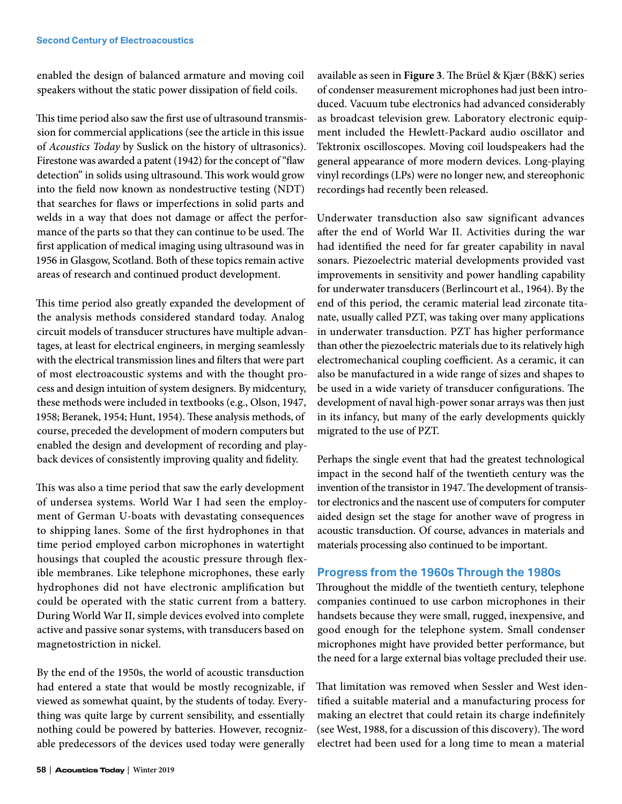enabled the design of balanced armature and moving coil speakers without the static power dissipation of field coils.

This time period also saw the first use of ultrasound transmission for commercial applications (see the article in this issue of *Acoustics Today* by Suslick on the history of ultrasonics). Firestone was awarded a patent (1942) for the concept of "flaw detection" in solids using ultrasound. This work would grow into the field now known as nondestructive testing (NDT) that searches for flaws or imperfections in solid parts and welds in a way that does not damage or affect the performance of the parts so that they can continue to be used. The first application of medical imaging using ultrasound was in 1956 in Glasgow, Scotland. Both of these topics remain active areas of research and continued product development.

This time period also greatly expanded the development of the analysis methods considered standard today. Analog circuit models of transducer structures have multiple advantages, at least for electrical engineers, in merging seamlessly with the electrical transmission lines and filters that were part of most electroacoustic systems and with the thought process and design intuition of system designers. By midcentury, these methods were included in textbooks (e.g., Olson, 1947, 1958; Beranek, 1954; Hunt, 1954). These analysis methods, of course, preceded the development of modern computers but enabled the design and development of recording and playback devices of consistently improving quality and fidelity.

This was also a time period that saw the early development of undersea systems. World War I had seen the employment of German U-boats with devastating consequences to shipping lanes. Some of the first hydrophones in that time period employed carbon microphones in watertight housings that coupled the acoustic pressure through flexible membranes. Like telephone microphones, these early hydrophones did not have electronic amplification but could be operated with the static current from a battery. During World War II, simple devices evolved into complete active and passive sonar systems, with transducers based on magnetostriction in nickel.

By the end of the 1950s, the world of acoustic transduction had entered a state that would be mostly recognizable, if viewed as somewhat quaint, by the students of today. Everything was quite large by current sensibility, and essentially nothing could be powered by batteries. However, recognizable predecessors of the devices used today were generally

available as seen in **Figure 3**. The Brüel & Kjær (B&K) series of condenser measurement microphones had just been introduced. Vacuum tube electronics had advanced considerably as broadcast television grew. Laboratory electronic equipment included the Hewlett-Packard audio oscillator and Tektronix oscilloscopes. Moving coil loudspeakers had the general appearance of more modern devices. Long-playing vinyl recordings (LPs) were no longer new, and stereophonic recordings had recently been released.

Underwater transduction also saw significant advances after the end of World War II. Activities during the war had identified the need for far greater capability in naval sonars. Piezoelectric material developments provided vast improvements in sensitivity and power handling capability for underwater transducers (Berlincourt et al., 1964). By the end of this period, the ceramic material lead zirconate titanate, usually called PZT, was taking over many applications in underwater transduction. PZT has higher performance than other the piezoelectric materials due to its relatively high electromechanical coupling coefficient. As a ceramic, it can also be manufactured in a wide range of sizes and shapes to be used in a wide variety of transducer configurations. The development of naval high-power sonar arrays was then just in its infancy, but many of the early developments quickly migrated to the use of PZT.

Perhaps the single event that had the greatest technological impact in the second half of the twentieth century was the invention of the transistor in 1947. The development of transistor electronics and the nascent use of computers for computer aided design set the stage for another wave of progress in acoustic transduction. Of course, advances in materials and materials processing also continued to be important.

## **Progress from the 1960s Through the 1980s**

Throughout the middle of the twentieth century, telephone companies continued to use carbon microphones in their handsets because they were small, rugged, inexpensive, and good enough for the telephone system. Small condenser microphones might have provided better performance, but the need for a large external bias voltage precluded their use.

That limitation was removed when Sessler and West identified a suitable material and a manufacturing process for making an electret that could retain its charge indefinitely (see West, 1988, for a discussion of this discovery). The word electret had been used for a long time to mean a material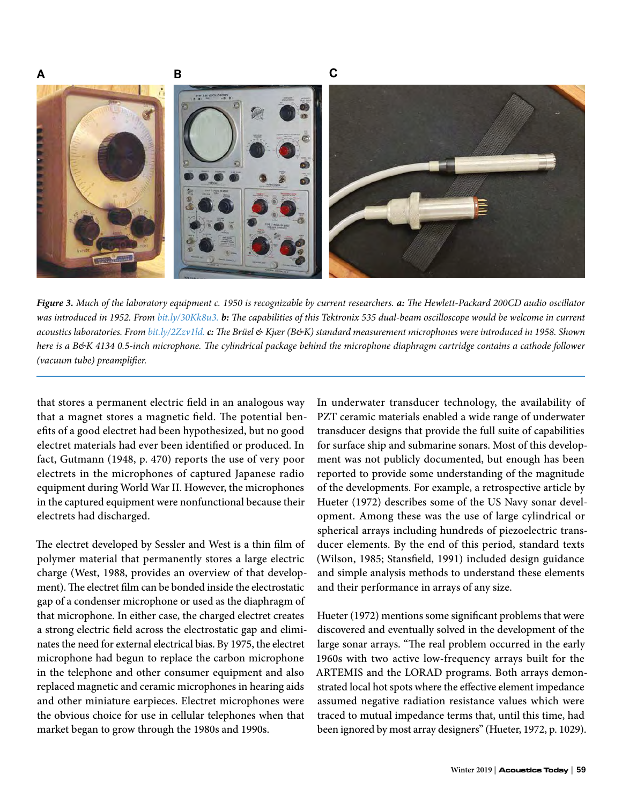

*Figure 3. Much of the laboratory equipment c. 1950 is recognizable by current researchers. a: The Hewlett-Packard 200CD audio oscillator was introduced in 1952. From [bit.ly/30Kk8u3.](http://bit.ly/30Kk8u3) b: The capabilities of this Tektronix 535 dual-beam oscilloscope would be welcome in current acoustics laboratories. From [bit.ly/2Zzv1ld.](http://bit.ly/2Zzv1ld)c: The Brüel & Kjær (B&K) standard measurement microphones were introduced in 1958. Shown here is a B&K 4134 0.5-inch microphone. The cylindrical package behind the microphone diaphragm cartridge contains a cathode follower (vacuum tube) preamplifier.*

that stores a permanent electric field in an analogous way that a magnet stores a magnetic field. The potential benefits of a good electret had been hypothesized, but no good electret materials had ever been identified or produced. In fact, Gutmann (1948, p. 470) reports the use of very poor electrets in the microphones of captured Japanese radio equipment during World War II. However, the microphones in the captured equipment were nonfunctional because their electrets had discharged.

The electret developed by Sessler and West is a thin film of polymer material that permanently stores a large electric charge (West, 1988, provides an overview of that development). The electret film can be bonded inside the electrostatic gap of a condenser microphone or used as the diaphragm of that microphone. In either case, the charged electret creates a strong electric field across the electrostatic gap and eliminates the need for external electrical bias. By 1975, the electret microphone had begun to replace the carbon microphone in the telephone and other consumer equipment and also replaced magnetic and ceramic microphones in hearing aids and other miniature earpieces. Electret microphones were the obvious choice for use in cellular telephones when that market began to grow through the 1980s and 1990s.

In underwater transducer technology, the availability of PZT ceramic materials enabled a wide range of underwater transducer designs that provide the full suite of capabilities for surface ship and submarine sonars. Most of this development was not publicly documented, but enough has been reported to provide some understanding of the magnitude of the developments. For example, a retrospective article by Hueter (1972) describes some of the US Navy sonar development. Among these was the use of large cylindrical or spherical arrays including hundreds of piezoelectric transducer elements. By the end of this period, standard texts (Wilson, 1985; Stansfield, 1991) included design guidance and simple analysis methods to understand these elements and their performance in arrays of any size.

Hueter (1972) mentions some significant problems that were discovered and eventually solved in the development of the large sonar arrays. "The real problem occurred in the early 1960s with two active low-frequency arrays built for the ARTEMIS and the LORAD programs. Both arrays demonstrated local hot spots where the effective element impedance assumed negative radiation resistance values which were traced to mutual impedance terms that, until this time, had been ignored by most array designers" (Hueter, 1972, p. 1029).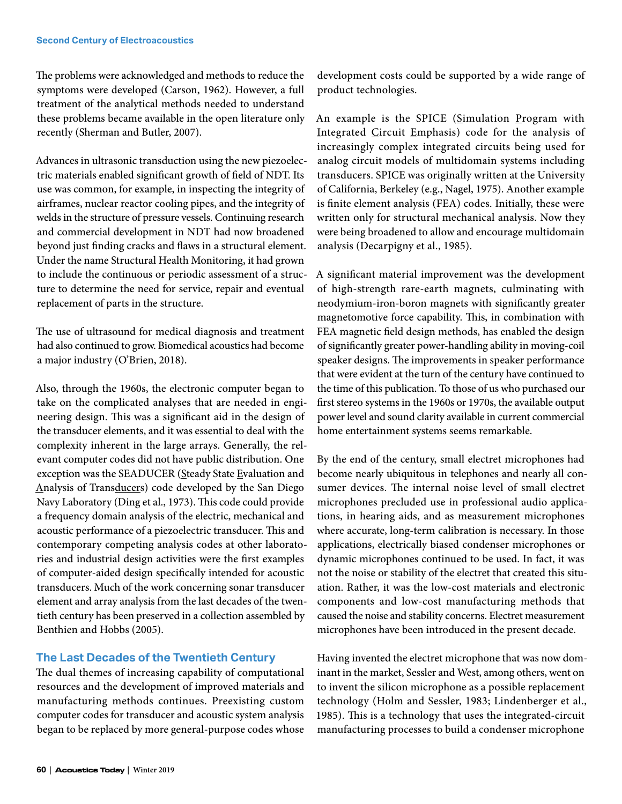The problems were acknowledged and methods to reduce the symptoms were developed (Carson, 1962). However, a full treatment of the analytical methods needed to understand these problems became available in the open literature only recently (Sherman and Butler, 2007).

Advances in ultrasonic transduction using the new piezoelectric materials enabled significant growth of field of NDT. Its use was common, for example, in inspecting the integrity of airframes, nuclear reactor cooling pipes, and the integrity of welds in the structure of pressure vessels. Continuing research and commercial development in NDT had now broadened beyond just finding cracks and flaws in a structural element. Under the name Structural Health Monitoring, it had grown to include the continuous or periodic assessment of a structure to determine the need for service, repair and eventual replacement of parts in the structure.

The use of ultrasound for medical diagnosis and treatment had also continued to grow. Biomedical acoustics had become a major industry (O'Brien, 2018).

Also, through the 1960s, the electronic computer began to take on the complicated analyses that are needed in engineering design. This was a significant aid in the design of the transducer elements, and it was essential to deal with the complexity inherent in the large arrays. Generally, the relevant computer codes did not have public distribution. One exception was the SEADUCER (Steady State Evaluation and Analysis of Transducers) code developed by the San Diego Navy Laboratory (Ding et al., 1973). This code could provide a frequency domain analysis of the electric, mechanical and acoustic performance of a piezoelectric transducer. This and contemporary competing analysis codes at other laboratories and industrial design activities were the first examples of computer-aided design specifically intended for acoustic transducers. Much of the work concerning sonar transducer element and array analysis from the last decades of the twentieth century has been preserved in a collection assembled by Benthien and Hobbs (2005).

# **The Last Decades of the Twentieth Century**

The dual themes of increasing capability of computational resources and the development of improved materials and manufacturing methods continues. Preexisting custom computer codes for transducer and acoustic system analysis began to be replaced by more general-purpose codes whose development costs could be supported by a wide range of product technologies.

An example is the SPICE (Simulation Program with Integrated Circuit Emphasis) code for the analysis of increasingly complex integrated circuits being used for analog circuit models of multidomain systems including transducers. SPICE was originally written at the University of California, Berkeley (e.g., Nagel, 1975). Another example is finite element analysis (FEA) codes. Initially, these were written only for structural mechanical analysis. Now they were being broadened to allow and encourage multidomain analysis (Decarpigny et al., 1985).

A significant material improvement was the development of high-strength rare-earth magnets, culminating with neodymium-iron-boron magnets with significantly greater magnetomotive force capability. This, in combination with FEA magnetic field design methods, has enabled the design of significantly greater power-handling ability in moving-coil speaker designs. The improvements in speaker performance that were evident at the turn of the century have continued to the time of this publication. To those of us who purchased our first stereo systems in the 1960s or 1970s, the available output power level and sound clarity available in current commercial home entertainment systems seems remarkable.

By the end of the century, small electret microphones had become nearly ubiquitous in telephones and nearly all consumer devices. The internal noise level of small electret microphones precluded use in professional audio applications, in hearing aids, and as measurement microphones where accurate, long-term calibration is necessary. In those applications, electrically biased condenser microphones or dynamic microphones continued to be used. In fact, it was not the noise or stability of the electret that created this situation. Rather, it was the low-cost materials and electronic components and low-cost manufacturing methods that caused the noise and stability concerns. Electret measurement microphones have been introduced in the present decade.

Having invented the electret microphone that was now dominant in the market, Sessler and West, among others, went on to invent the silicon microphone as a possible replacement technology (Holm and Sessler, 1983; Lindenberger et al., 1985). This is a technology that uses the integrated-circuit manufacturing processes to build a condenser microphone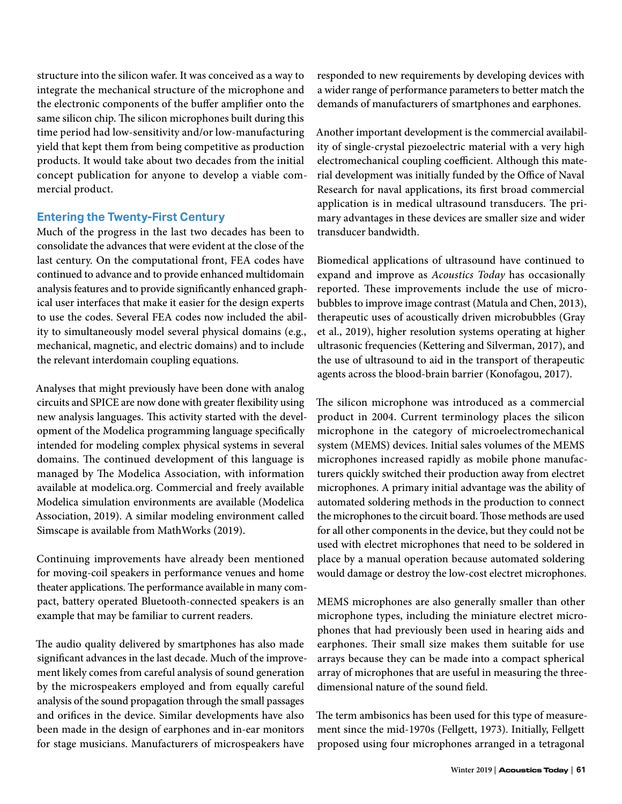structure into the silicon wafer. It was conceived as a way to integrate the mechanical structure of the microphone and the electronic components of the buffer amplifier onto the same silicon chip. The silicon microphones built during this time period had low-sensitivity and/or low-manufacturing yield that kept them from being competitive as production products. It would take about two decades from the initial concept publication for anyone to develop a viable commercial product.

# **Entering the Twenty-First Century**

Much of the progress in the last two decades has been to consolidate the advances that were evident at the close of the last century. On the computational front, FEA codes have continued to advance and to provide enhanced multidomain analysis features and to provide significantly enhanced graphical user interfaces that make it easier for the design experts to use the codes. Several FEA codes now included the ability to simultaneously model several physical domains (e.g., mechanical, magnetic, and electric domains) and to include the relevant interdomain coupling equations.

Analyses that might previously have been done with analog circuits and SPICE are now done with greater flexibility using new analysis languages. This activity started with the development of the Modelica programming language specifically intended for modeling complex physical systems in several domains. The continued development of this language is managed by The Modelica Association, with information available at modelica.org. Commercial and freely available Modelica simulation environments are available (Modelica Association, 2019). A similar modeling environment called Simscape is available from MathWorks (2019).

Continuing improvements have already been mentioned for moving-coil speakers in performance venues and home theater applications. The performance available in many compact, battery operated Bluetooth-connected speakers is an example that may be familiar to current readers.

The audio quality delivered by smartphones has also made significant advances in the last decade. Much of the improvement likely comes from careful analysis of sound generation by the microspeakers employed and from equally careful analysis of the sound propagation through the small passages and orifices in the device. Similar developments have also been made in the design of earphones and in-ear monitors for stage musicians. Manufacturers of microspeakers have

responded to new requirements by developing devices with a wider range of performance parameters to better match the demands of manufacturers of smartphones and earphones.

Another important development is the commercial availability of single-crystal piezoelectric material with a very high electromechanical coupling coefficient. Although this material development was initially funded by the Office of Naval Research for naval applications, its first broad commercial application is in medical ultrasound transducers. The primary advantages in these devices are smaller size and wider transducer bandwidth.

Biomedical applications of ultrasound have continued to expand and improve as *Acoustics Today* has occasionally reported. These improvements include the use of microbubbles to improve image contrast (Matula and Chen, 2013), therapeutic uses of acoustically driven microbubbles (Gray et al., 2019), higher resolution systems operating at higher ultrasonic frequencies (Kettering and Silverman, 2017), and the use of ultrasound to aid in the transport of therapeutic agents across the blood-brain barrier (Konofagou, 2017).

The silicon microphone was introduced as a commercial product in 2004. Current terminology places the silicon microphone in the category of microelectromechanical system (MEMS) devices. Initial sales volumes of the MEMS microphones increased rapidly as mobile phone manufacturers quickly switched their production away from electret microphones. A primary initial advantage was the ability of automated soldering methods in the production to connect the microphones to the circuit board. Those methods are used for all other components in the device, but they could not be used with electret microphones that need to be soldered in place by a manual operation because automated soldering would damage or destroy the low-cost electret microphones.

MEMS microphones are also generally smaller than other microphone types, including the miniature electret microphones that had previously been used in hearing aids and earphones. Their small size makes them suitable for use arrays because they can be made into a compact spherical array of microphones that are useful in measuring the threedimensional nature of the sound field.

The term ambisonics has been used for this type of measurement since the mid-1970s (Fellgett, 1973). Initially, Fellgett proposed using four microphones arranged in a tetragonal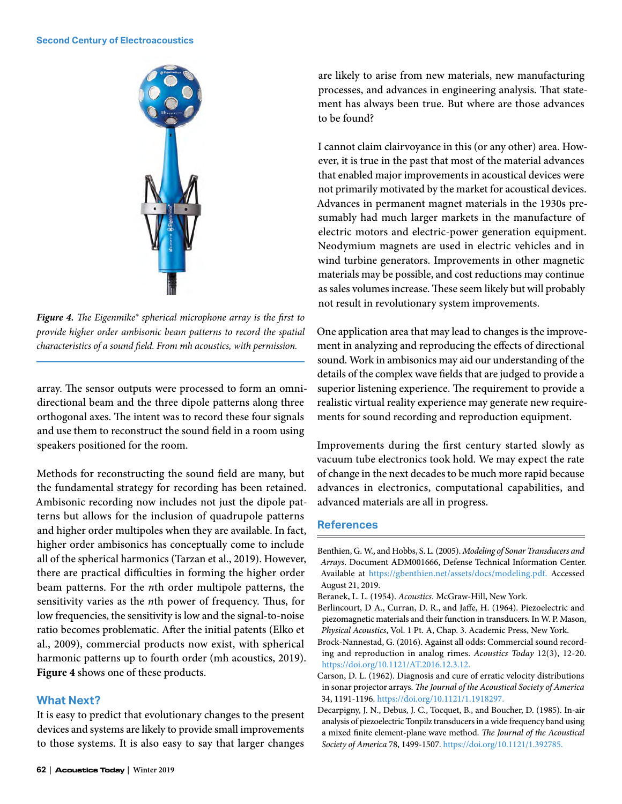#### **Second Century of Electroacoustics**



*Figure 4. The Eigenmike® spherical microphone array is the first to provide higher order ambisonic beam patterns to record the spatial characteristics of a sound field. From mh acoustics, with permission.*

array. The sensor outputs were processed to form an omnidirectional beam and the three dipole patterns along three orthogonal axes. The intent was to record these four signals and use them to reconstruct the sound field in a room using speakers positioned for the room.

Methods for reconstructing the sound field are many, but the fundamental strategy for recording has been retained. Ambisonic recording now includes not just the dipole patterns but allows for the inclusion of quadrupole patterns and higher order multipoles when they are available. In fact, higher order ambisonics has conceptually come to include all of the spherical harmonics (Tarzan et al., 2019). However, there are practical difficulties in forming the higher order beam patterns. For the *n*th order multipole patterns, the sensitivity varies as the *n*th power of frequency. Thus, for low frequencies, the sensitivity is low and the signal-to-noise ratio becomes problematic. After the initial patents (Elko et al., 2009), commercial products now exist, with spherical harmonic patterns up to fourth order (mh acoustics, 2019). **Figure 4** shows one of these products.

## **What Next?**

It is easy to predict that evolutionary changes to the present devices and systems are likely to provide small improvements to those systems. It is also easy to say that larger changes

are likely to arise from new materials, new manufacturing processes, and advances in engineering analysis. That statement has always been true. But where are those advances to be found?

I cannot claim clairvoyance in this (or any other) area. However, it is true in the past that most of the material advances that enabled major improvements in acoustical devices were not primarily motivated by the market for acoustical devices. Advances in permanent magnet materials in the 1930s presumably had much larger markets in the manufacture of electric motors and electric-power generation equipment. Neodymium magnets are used in electric vehicles and in wind turbine generators. Improvements in other magnetic materials may be possible, and cost reductions may continue as sales volumes increase. These seem likely but will probably not result in revolutionary system improvements.

One application area that may lead to changes is the improvement in analyzing and reproducing the effects of directional sound. Work in ambisonics may aid our understanding of the details of the complex wave fields that are judged to provide a superior listening experience. The requirement to provide a realistic virtual reality experience may generate new requirements for sound recording and reproduction equipment.

Improvements during the first century started slowly as vacuum tube electronics took hold. We may expect the rate of change in the next decades to be much more rapid because advances in electronics, computational capabilities, and advanced materials are all in progress.

## **References**

Benthien, G. W., and Hobbs, S. L. (2005). *Modeling of Sonar Transducers and Arrays*. Document ADM001666, Defense Technical Information Center. Available at [https://gbenthien.net/assets/docs/modeling.pdf.](https://gbenthien.net/assets/docs/modeling.pdf) Accessed August 21, 2019.

Beranek, L. L. (1954). *Acoustics*. McGraw-Hill, New York.

Berlincourt, D A., Curran, D. R., and Jaffe, H. (1964). Piezoelectric and piezomagnetic materials and their function in transducers. In W. P. Mason, *Physical Acoustics*, Vol. 1 Pt. A, Chap. 3. Academic Press, New York.

Brock-Nannestad, G. (2016). Against all odds: Commercial sound recording and reproduction in analog rimes. *Acoustics Today* 12(3), 12-20. [https://doi.org/10.1121/AT.2016.12.3.12.](https://doi.org/10.1121/AT.2016.12.3.12)

Carson, D. L. (1962). Diagnosis and cure of erratic velocity distributions in sonar projector arrays. *The Journal of the Acoustical Society of America*  34, 1191-1196.<https://doi.org/10.1121/1.1918297>.

Decarpigny, J. N., Debus, J. C., Tocquet, B., and Boucher, D. (1985). In-air analysis of piezoelectric Tonpilz transducers in a wide frequency band using a mixed finite element-plane wave method. *The Journal of the Acoustical Society of America* 78, 1499-1507. [https://doi.org/10.1121/1.392785.](https://doi.org/10.1121/1.392785)